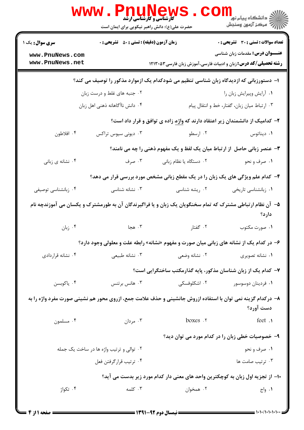|                                    | <b>www.Pnu</b>                                     | <b>کارشناسی و کارشناسی ارشد</b><br>حضرت علی(ع): دانش راهبر نیکویی برای ایمان است        | ر دانشکاه پيام نور <mark>−</mark><br>ا∛ مرکز آزمون وسنجش                                                                 |
|------------------------------------|----------------------------------------------------|-----------------------------------------------------------------------------------------|--------------------------------------------------------------------------------------------------------------------------|
| <b>سری سوال :</b> یک ۱             | <b>زمان آزمون (دقیقه) : تستی : 50 ٪ تشریحی : 0</b> |                                                                                         | <b>تعداد سوالات : تستی : 30 ٪ تشریحی : 0</b>                                                                             |
| www.PnuNews.com<br>www.PnuNews.net |                                                    |                                                                                         | <b>عنـــوان درس:</b> مقدمات زبان شناسی<br><b>رشته تحصیلی/کد درس:</b> زبان و ادبیات فارسی،آموزش زبان فارسی۵۳×۱۲۱۳         |
|                                    |                                                    | ا– دستورزبانی که ازدیدگاه زبان شناسی تنظیم می شودکدام یک ازموارد مذکور را توصیف می کند؟ |                                                                                                                          |
|                                    | ۰۲ جنبه های غلط و درست زبان                        |                                                                                         | ۰۱ آرایش وپیرایش زبان را                                                                                                 |
|                                    | ۰۴ دانش ناآگاهانه ذهنی اهل زبان                    |                                                                                         | ٠٣ ارتباط ميان زبان، گفتار، خط و انتقال پيام                                                                             |
|                                    |                                                    | ۲– کدامیک از دانشمندان زیر اعتقاد دارند که واژه زاده ی توافق و قرار داد است؟            |                                                                                                                          |
| ۰۴ افلاطون                         | ۰۳ دیونی سیوس تراکس                                | ۰۲ ارسطو                                                                                | ۰۱ دیناتوس                                                                                                               |
|                                    |                                                    |                                                                                         | <b>۳</b> - عنصر زبانی حاصل از ارتباط میان یک لفظ و یک مفهوم ذهنی را چه می نامند؟                                         |
| ۰۴ نشانه ی زبانی                   | ۰۳ صرف                                             | ۰۲ دستگاه یا نظام زبانی                                                                 | ۰۱ صرف و نحو                                                                                                             |
|                                    |                                                    |                                                                                         | ۴- کدام علم ویژگی های یک زبان را در یک مقطع زبانی مشخص مورد بررسی قرار می دهد؟                                           |
| ۰۴ زبانشناسی توصیفی                | ۰۳ نشانه شناسی                                     | ۰۲ ریشه شناسی                                                                           | ۰۱ زبانشناسی تاریخی                                                                                                      |
|                                    |                                                    |                                                                                         | ۵– آن نظام ارتباطی مشترک که تمام سخنگویان یک زبان و یا فراگیرندگان آن به طورمشترک و یکسان می آموزندچه نام<br>دارد؟       |
| ۰۴ زبان                            | ۰۳ هجا                                             | ۰۲ گفتار                                                                                | ۰۱ صورت مکتوب                                                                                                            |
|                                    |                                                    |                                                                                         | ۶- در کدام یک از نشانه های زبانی میان صورت و مفهوم «نشانه» رابطه علت و معلولی وجود دارد؟                                 |
| ۰۴ نشانه قراردادی                  | ۰۳ نشانه طبیعی                                     | ۰۲ نشانه وضعی                                                                           | ۰۱ نشانه تصویری                                                                                                          |
|                                    |                                                    |                                                                                         | ۷– کدام یک از زبان شناسان مذکور، پایه گذارمکتب ساختگرایی است؟                                                            |
| ۰۴ ياكوبسن                         | هانس برتنس $\cdot$ ۳                               | ۰۲ اشکلوفسکی                                                                            | ۰۱ فردينان دوسوسور                                                                                                       |
|                                    |                                                    |                                                                                         | ۸– درکدام گزینه نمی توان با استفاده ازروش جانشینی و حذف علامت جمع، ازروی محور هم نشینی صورت مفرد واژه را به<br>دست آورد؟ |
| ۰۴ مسلمون                          | ۰۳ مردان                                           | boxes .r                                                                                | feet .                                                                                                                   |
|                                    |                                                    |                                                                                         | ۹- خصوصیات خطی زبان را در کدام مورد می توان دید؟                                                                         |
|                                    | ۰۲ توالی و ترتیب واژه ها در ساخت یک جمله           |                                                                                         | ۰۱ صرف و نحو                                                                                                             |
|                                    | ۰۴ ترتيب قرارگرفتن فعل                             |                                                                                         | ۰۳ ترتيب صامت ها                                                                                                         |
|                                    |                                                    |                                                                                         | ∙ا– از تجزیه اول زبان به کوچکترین واحد های معنی دار کدام مورد زیر بدست می آید؟                                           |
| ۰۴ تکواژ                           | ۰۳ کلمه                                            | ۰۲ همخوان                                                                               | ۰۱ واج                                                                                                                   |
|                                    |                                                    |                                                                                         |                                                                                                                          |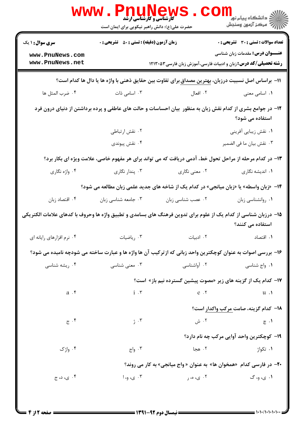|                                                                                                                | <b>WWW.PNUNEWS</b><br><b>گارشناسی و کارشناسی ارشد</b><br>حضرت علی(ع): دانش راهبر نیکویی برای ایمان است |                   |                                                                                                                                |
|----------------------------------------------------------------------------------------------------------------|--------------------------------------------------------------------------------------------------------|-------------------|--------------------------------------------------------------------------------------------------------------------------------|
| <b>سری سوال : ۱ یک</b>                                                                                         | <b>زمان آزمون (دقیقه) : تستی : 50 ٪ تشریحی : 0</b>                                                     |                   | <b>تعداد سوالات : تستی : 30 ٪ تشریحی : 0</b>                                                                                   |
| www.PnuNews.com<br>www.PnuNews.net                                                                             |                                                                                                        |                   | <b>عنـــوان درس:</b> مقدمات زبان شناسی<br><b>رشته تحصیلی/کد درس:</b> زبان و ادبیات فارسی،آموزش زبان فارسی1۲۱۳۰۵۳               |
|                                                                                                                |                                                                                                        |                   | ا1− براساس اصل نسبیت درزبان، <u>بهترین</u> مصداق برای تفاوت بین حقایق ذهنی با واژه ها یا دال ها کدام است؟                      |
| ۰۴ ضرب المثل ها                                                                                                | ۰۳ اسامی ذات                                                                                           | ۰۲ افعال          | ۰۱ اسامی معنی                                                                                                                  |
|                                                                                                                |                                                                                                        |                   | ۱۲– در جوامع بشری از کدام نقش زبان به منظور ًبیان احساسات و حالت های عاطفی و پرده برداشتن از دنیای درون فرد<br>استفاده می شود؟ |
|                                                                                                                | ۰۲ نقش ارتباطی                                                                                         |                   | ۰۱ نقش زیبایی آفرینی                                                                                                           |
|                                                                                                                | ۰۴ نقش پیوندی                                                                                          |                   | ٠٣ نقش بيان ما في الضمير                                                                                                       |
|                                                                                                                |                                                                                                        |                   | ۱۳- در کدام مرحله از مراحل تحول خط، آدمی دریافت که می تواند برای هر مفهوم خاصی، علامت ویژه ای بکار برد؟                        |
| ۰۴ واژه نگاري                                                                                                  | ۰۳ پندار نگاری                                                                                         | ۰۲ معنی نگاری     | ۰۱ اندیشه نگاری                                                                                                                |
|                                                                                                                |                                                                                                        |                   | ۱۴- «زبان واسطه» یا «زبان میانجی» در کدام یک از شاخه های جدید علمی زبان مطالعه می شود؟                                         |
| ۰۴ اقتصاد زبان                                                                                                 | ۰۳ جامعه شناسی زبان                                                                                    | ۰۲ عصب شناسی زبان | ٠١ روانشناسي زبان                                                                                                              |
| ۱۵– درزبان شناسی از کدام یک از علوم برای تدوین فرهنگ های بسامدی و تطبیق واژه ها وحروف با کدهای علامات الکتریکی |                                                                                                        |                   | استفاده می کنند؟                                                                                                               |
| ۰۴ نرم افزارهای رایانه ای                                                                                      | ۰۳ ریاضیات                                                                                             | ۰۲ ادبیات         | ۰۱ اقتصاد                                                                                                                      |
|                                                                                                                |                                                                                                        |                   | ۱۶- بررسی اصوات به عنوان کوچکترین واحد زبانی که ازترکیب آن ها واژه ها و عبارت ساخته می شودچه نامیده می شود؟                    |
| ۰۴ ریشه شناسی                                                                                                  | ۰۳ معنی شناسی                                                                                          | ۰۲ آواشناسی       | ۰۱ واج شناسی                                                                                                                   |
|                                                                                                                |                                                                                                        |                   | ۱۷– کدام یک از گزینه های زیر «مصوت پیشین گسترده نیم باز» است؟                                                                  |
| $a \cdot f$                                                                                                    | $i \cdot \tau$                                                                                         | $e \cdot r$       | $\mathfrak{u}$ .                                                                                                               |
|                                                                                                                |                                                                                                        |                   | 18– كدام گزينه، صامت مركب واكدار است؟                                                                                          |
| $\tau \cdot \tau$                                                                                              | ۰۳ ژ                                                                                                   | ۰۲ ش              | $\epsilon \cdot$                                                                                                               |
|                                                                                                                |                                                                                                        |                   | <b>۱۹- کوچکترین واحد آوایی مرکب چه نام دارد؟</b>                                                                               |
| ۰۴ واژک                                                                                                        | ۰۳ واج                                                                                                 | ۰۲ هجا            | ۰۱ تکواژ                                                                                                                       |
|                                                                                                                |                                                                                                        |                   | <b>۲۰</b> - در فارسی کدام «همخوان ها» به عنوان « واج میانجی» به کار می روند؟                                                   |
| ۴. ی، د، ج                                                                                                     | ۰۳ ی، و، ا                                                                                             | ۰۲ ی، ه، ر        | ۰۱ ي، و، گ                                                                                                                     |
|                                                                                                                |                                                                                                        |                   |                                                                                                                                |

 $=$  1+1+/1+1+1+1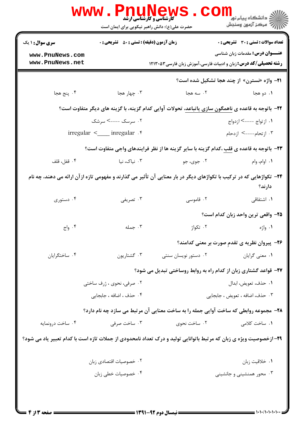| <b>سری سوال : ۱ یک</b>                                                                                               | <b>زمان آزمون (دقیقه) : تستی : 50 ٪ تشریحی : 0</b> |                                                                                                    | تعداد سوالات : تستي : 30 ٪ تشريحي : 0              |
|----------------------------------------------------------------------------------------------------------------------|----------------------------------------------------|----------------------------------------------------------------------------------------------------|----------------------------------------------------|
| www.PnuNews.com                                                                                                      |                                                    |                                                                                                    | <b>عنـــوان درس:</b> مقدمات زبان شناسی             |
| www.PnuNews.net                                                                                                      |                                                    | <b>رشته تحصیلی/کد درس:</b> زبان و ادبیات فارسی،آموزش زبان فارسی۳۵۳۳۰۵۳                             |                                                    |
|                                                                                                                      |                                                    |                                                                                                    | <b>٢١- واژه «نسترن» از چند هجا تشکیل شده است</b> ؟ |
| ۰۴ پنج هجا                                                                                                           | ۰۳ چهار هجا                                        | ۰۲ سه هجا                                                                                          | ۱. دو هجا                                          |
|                                                                                                                      |                                                    | ۲۲- باتوجه به قاعده ی ناهمگون سازی یاتباعد، تحولات آوایی کدام گزینه، با گزینه های دیگر متفاوت است؟ |                                                    |
| ۰۲ سرسک ----> سرشک                                                                                                   |                                                    | ٠١. از تواج ----> ازدواج                                                                           |                                                    |
| irregular < ___ inregular . r                                                                                        |                                                    | ۰۳ ازتحام----> ازدحام                                                                              |                                                    |
|                                                                                                                      |                                                    | ۲۳- باتوجه به قاعده ی قلب ،کدام گزینه با سایر گزینه ها از نظر فرایندهای واجی متفاوت است؟           |                                                    |
| ۰۴ قفل، قلف                                                                                                          | ۰۳ نیاک، نیا                                       | ۰۲ جوی، جو                                                                                         | ۰۱ اوام، وام                                       |
| ۲۴– تکواژهایی که در ترکیب با تکواژهای دیگر در بار معنایی آن تأثیر می گذارند و مفهومی تازه ازآن ارائه می دهند، چه نام |                                                    |                                                                                                    | دارند؟                                             |
| ۰۴ دستوری                                                                                                            | ۰۳ تصریفی                                          | ۰۲ قاموسی                                                                                          | ۰۱ اشتقاقی                                         |
|                                                                                                                      |                                                    |                                                                                                    | ۲۵– واقعی ترین واحد زبان کدام است؟                 |
| ۰۴ واج                                                                                                               | ۰۳ جمله                                            | ۰۲ تکواژ                                                                                           | ۰۱ واژه                                            |
|                                                                                                                      |                                                    |                                                                                                    | ۲۶- پیروان نظریه ی تقدم صورت بر معنی کدامند؟       |
| ۰۴ ساختگرايان                                                                                                        | ۰۳ گشتاريون                                        | ۰۲ دستور نویسان سنتی                                                                               | ۰۱ معنی گرایان                                     |
|                                                                                                                      |                                                    | ۲۷- قواعد گشتاری زبان از کدام راه به روابط روساختی تبدیل می شود؟                                   |                                                    |
| ۰۲ صرفی، نحوی ، ژرف ساختی                                                                                            |                                                    | ٠١ حذف، تعويض، ابدال                                                                               |                                                    |
| ۰۴ حذف ، اضافه ، جابجايي                                                                                             |                                                    | ۰۳ حذف، اضافه ، تعويض ، جابجايي                                                                    |                                                    |
|                                                                                                                      |                                                    | ۲۸- مجموعه روابطی که ساخت آوایی جمله را به ساخت معنایی آن مرتبط می سازد چه نام دارد؟               |                                                    |
| ۰۴ ساخت درونمایه                                                                                                     | ۰۳ ساخت صرفی                                       | ۰۲ ساخت نحوی                                                                                       | ۰۱ ساخت کلامی                                      |
| ۲۹- ازخصوصیت ویژه ی زبان که مرتبط باتوانایی تولید و درک تعداد نامحدودی از جملات تازه است با کدام تعبیر یاد می شود؟   |                                                    |                                                                                                    |                                                    |
|                                                                                                                      | ٠٢ خصوصيات اقتصادي زبان                            |                                                                                                    | ٠١ خلاقيت زبان                                     |
|                                                                                                                      | ۰۴ خصوصیات خطی زبان                                |                                                                                                    | ۰۳ محور همنشینی و جانشینی                          |